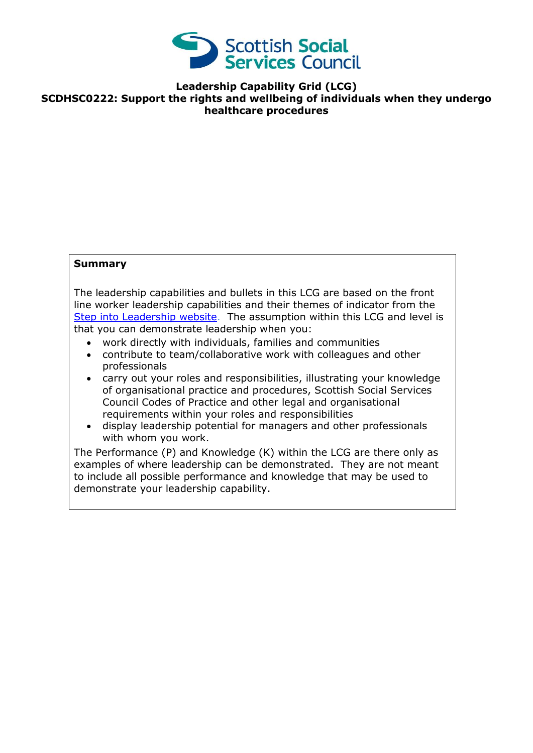

**Leadership Capability Grid (LCG) SCDHSC0222: Support the rights and wellbeing of individuals when they undergo healthcare procedures** 

## **Summary**

The leadership capabilities and bullets in this LCG are based on the front line worker leadership capabilities and their themes of indicator from the [Step into Leadership website.](http://www.stepintoleadership.info/) The assumption within this LCG and level is that you can demonstrate leadership when you:

- work directly with individuals, families and communities
- contribute to team/collaborative work with colleagues and other professionals
- carry out your roles and responsibilities, illustrating your knowledge of organisational practice and procedures, Scottish Social Services Council Codes of Practice and other legal and organisational requirements within your roles and responsibilities
- display leadership potential for managers and other professionals with whom you work.

The Performance (P) and Knowledge (K) within the LCG are there only as examples of where leadership can be demonstrated. They are not meant to include all possible performance and knowledge that may be used to demonstrate your leadership capability.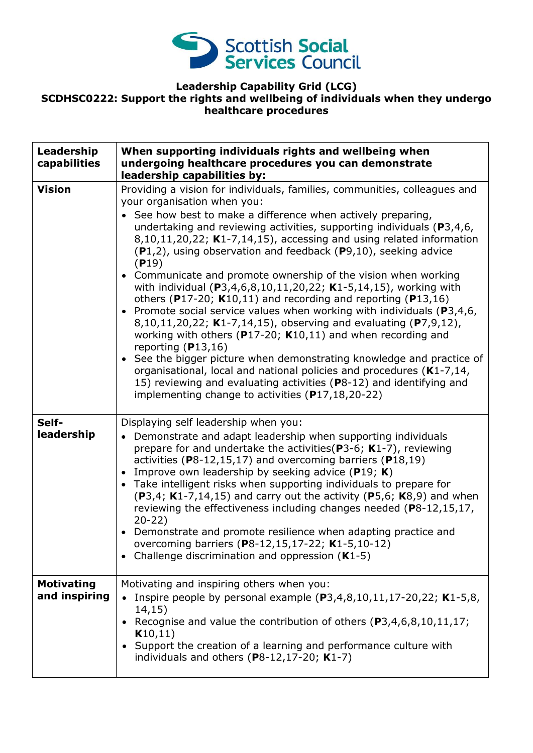

## **Leadership Capability Grid (LCG) SCDHSC0222: Support the rights and wellbeing of individuals when they undergo healthcare procedures**

| Leadership<br>capabilities         | When supporting individuals rights and wellbeing when<br>undergoing healthcare procedures you can demonstrate<br>leadership capabilities by:                                                                                                                                                                                                                                                                                                                                                                                                                                                                                                                                                                                                                                                                                                                                                                                                                                                                                                                                                                                                            |
|------------------------------------|---------------------------------------------------------------------------------------------------------------------------------------------------------------------------------------------------------------------------------------------------------------------------------------------------------------------------------------------------------------------------------------------------------------------------------------------------------------------------------------------------------------------------------------------------------------------------------------------------------------------------------------------------------------------------------------------------------------------------------------------------------------------------------------------------------------------------------------------------------------------------------------------------------------------------------------------------------------------------------------------------------------------------------------------------------------------------------------------------------------------------------------------------------|
| <b>Vision</b>                      | Providing a vision for individuals, families, communities, colleagues and<br>your organisation when you:<br>• See how best to make a difference when actively preparing,<br>undertaking and reviewing activities, supporting individuals ( $P3,4,6$ ,<br>$8,10,11,20,22$ ; K1-7,14,15), accessing and using related information<br>$(P1,2)$ , using observation and feedback $(P9,10)$ , seeking advice<br>(P19)<br>• Communicate and promote ownership of the vision when working<br>with individual (P3,4,6,8,10,11,20,22; K1-5,14,15), working with<br>others (P17-20; $K10,11$ ) and recording and reporting (P13,16)<br>• Promote social service values when working with individuals ( $P3,4,6$ ,<br>8,10,11,20,22; K1-7,14,15), observing and evaluating (P7,9,12),<br>working with others ( $P17-20$ ; K10,11) and when recording and<br>reporting $(P13,16)$<br>• See the bigger picture when demonstrating knowledge and practice of<br>organisational, local and national policies and procedures (K1-7,14,<br>15) reviewing and evaluating activities (P8-12) and identifying and<br>implementing change to activities $(P17, 18, 20 - 22)$ |
| Self-<br>leadership                | Displaying self leadership when you:<br>• Demonstrate and adapt leadership when supporting individuals<br>prepare for and undertake the activities ( $P3-6$ ; K1-7), reviewing<br>activities ( $P8-12,15,17$ ) and overcoming barriers ( $P18,19$ )<br>Improve own leadership by seeking advice ( $P19$ ; K)<br>• Take intelligent risks when supporting individuals to prepare for<br>$(P3,4; K1-7,14,15)$ and carry out the activity $(P5,6; K8,9)$ and when<br>reviewing the effectiveness including changes needed (P8-12,15,17,<br>$20-22)$<br>• Demonstrate and promote resilience when adapting practice and<br>overcoming barriers (P8-12,15,17-22; K1-5,10-12)<br>Challenge discrimination and oppression $(K1-5)$<br>$\bullet$                                                                                                                                                                                                                                                                                                                                                                                                                |
| <b>Motivating</b><br>and inspiring | Motivating and inspiring others when you:<br>Inspire people by personal example $(P3, 4, 8, 10, 11, 17 - 20, 22; K1 - 5, 8,$<br>14,15)<br>Recognise and value the contribution of others (P3,4,6,8,10,11,17;<br>K10,11)<br>• Support the creation of a learning and performance culture with<br>individuals and others ( $P8-12,17-20$ ; K1-7)                                                                                                                                                                                                                                                                                                                                                                                                                                                                                                                                                                                                                                                                                                                                                                                                          |